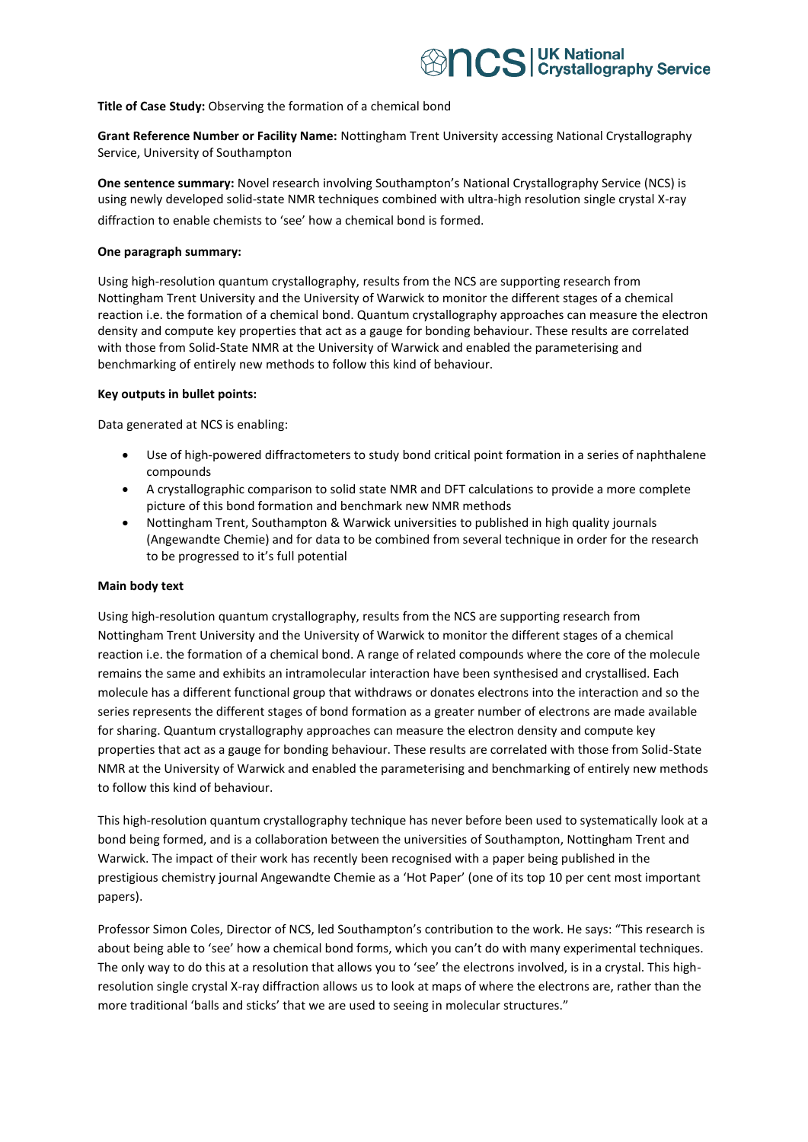## **Title of Case Study:** Observing the formation of a chemical bond

**Grant Reference Number or Facility Name:** Nottingham Trent University accessing National Crystallography Service, University of Southampton

**One sentence summary:** Novel research involving Southampton's National Crystallography Service (NCS) is using newly developed solid-state NMR techniques combined with ultra-high resolution single crystal X-ray diffraction to enable chemists to 'see' how a chemical bond is formed.

### **One paragraph summary:**

Using high-resolution quantum crystallography, results from the NCS are supporting research from Nottingham Trent University and the University of Warwick to monitor the different stages of a chemical reaction i.e. the formation of a chemical bond. Quantum crystallography approaches can measure the electron density and compute key properties that act as a gauge for bonding behaviour. These results are correlated with those from Solid-State NMR at the University of Warwick and enabled the parameterising and benchmarking of entirely new methods to follow this kind of behaviour.

### **Key outputs in bullet points:**

Data generated at NCS is enabling:

- Use of high-powered diffractometers to study bond critical point formation in a series of naphthalene compounds
- A crystallographic comparison to solid state NMR and DFT calculations to provide a more complete picture of this bond formation and benchmark new NMR methods
- Nottingham Trent, Southampton & Warwick universities to published in high quality journals (Angewandte Chemie) and for data to be combined from several technique in order for the research to be progressed to it's full potential

## **Main body text**

Using high-resolution quantum crystallography, results from the NCS are supporting research from Nottingham Trent University and the University of Warwick to monitor the different stages of a chemical reaction i.e. the formation of a chemical bond. A range of related compounds where the core of the molecule remains the same and exhibits an intramolecular interaction have been synthesised and crystallised. Each molecule has a different functional group that withdraws or donates electrons into the interaction and so the series represents the different stages of bond formation as a greater number of electrons are made available for sharing. Quantum crystallography approaches can measure the electron density and compute key properties that act as a gauge for bonding behaviour. These results are correlated with those from Solid-State NMR at the University of Warwick and enabled the parameterising and benchmarking of entirely new methods to follow this kind of behaviour.

This high-resolution quantum crystallography technique has never before been used to systematically look at a bond being formed, and is a collaboration between the universities of Southampton, Nottingham Trent and Warwick. The impact of their work has recently been recognised with a paper being published in the prestigious chemistry journal Angewandte Chemie as a 'Hot Paper' (one of its top 10 per cent most important papers).

Professor Simon Coles, Director of NCS, led Southampton's contribution to the work. He says: "This research is about being able to 'see' how a chemical bond forms, which you can't do with many experimental techniques. The only way to do this at a resolution that allows you to 'see' the electrons involved, is in a crystal. This highresolution single crystal X-ray diffraction allows us to look at maps of where the electrons are, rather than the more traditional 'balls and sticks' that we are used to seeing in molecular structures."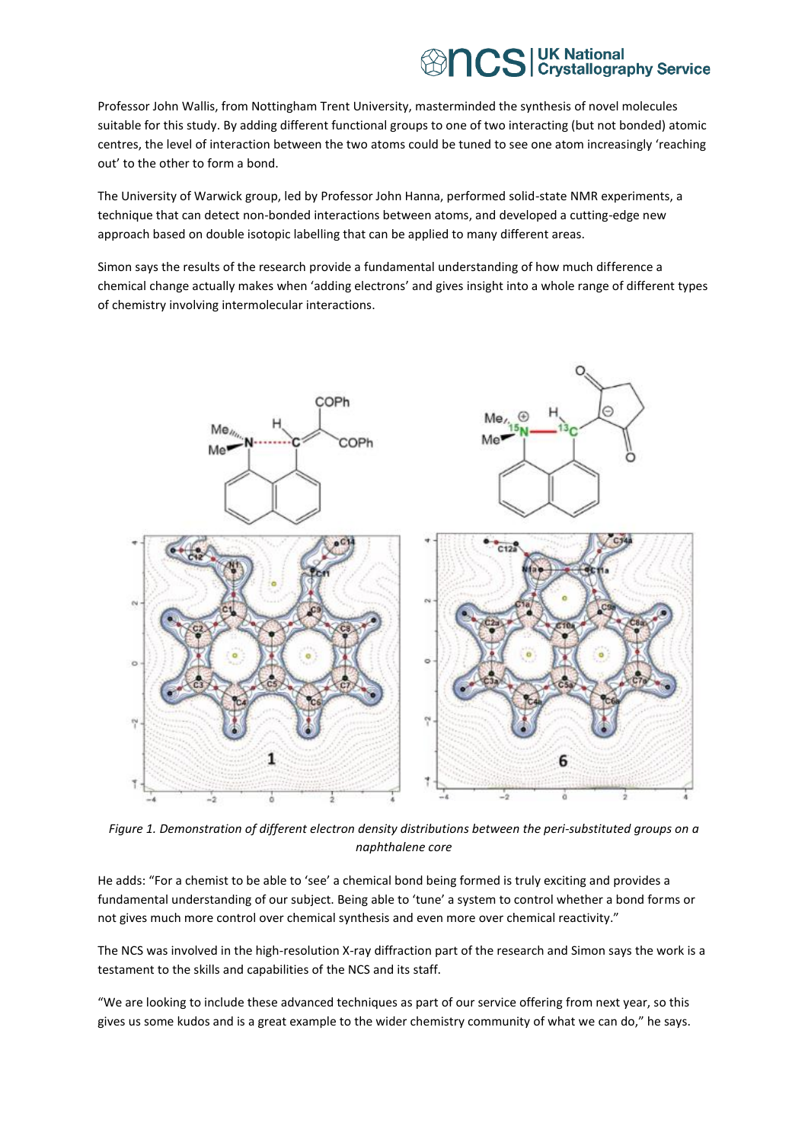# **BIOS** UK National CS Crystallography Service

Professor John Wallis, from Nottingham Trent University, masterminded the synthesis of novel molecules suitable for this study. By adding different functional groups to one of two interacting (but not bonded) atomic centres, the level of interaction between the two atoms could be tuned to see one atom increasingly 'reaching out' to the other to form a bond.

The University of Warwick group, led by Professor John Hanna, performed solid-state NMR experiments, a technique that can detect non-bonded interactions between atoms, and developed a cutting-edge new approach based on double isotopic labelling that can be applied to many different areas.

Simon says the results of the research provide a fundamental understanding of how much difference a chemical change actually makes when 'adding electrons' and gives insight into a whole range of different types of chemistry involving intermolecular interactions.



*Figure 1. Demonstration of different electron density distributions between the peri-substituted groups on a naphthalene core*

He adds: "For a chemist to be able to 'see' a chemical bond being formed is truly exciting and provides a fundamental understanding of our subject. Being able to 'tune' a system to control whether a bond forms or not gives much more control over chemical synthesis and even more over chemical reactivity."

The NCS was involved in the high-resolution X-ray diffraction part of the research and Simon says the work is a testament to the skills and capabilities of the NCS and its staff.

"We are looking to include these advanced techniques as part of our service offering from next year, so this gives us some kudos and is a great example to the wider chemistry community of what we can do," he says.